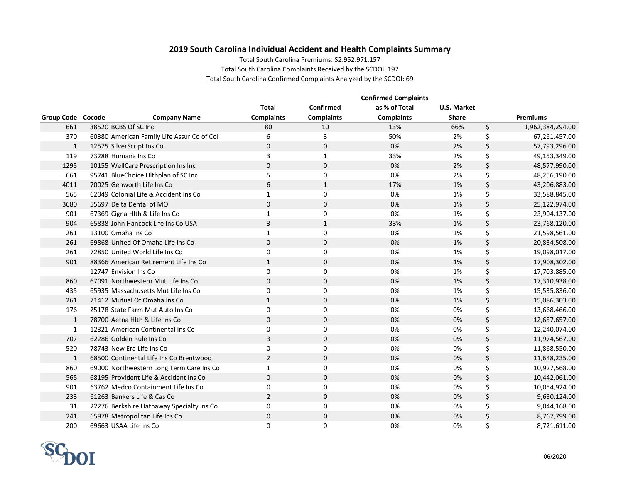## **2019 South Carolina Individual Accident and Health Complaints Summary**

Total South Carolina Premiums: \$2.952.971.157

Total South Carolina Complaints Received by the SCDOI: 197

Total South Carolina Confirmed Complaints Analyzed by the SCDOI: 69

|                   | <b>Confirmed Complaints</b>                |                   |                   |                   |                    |    |                  |  |
|-------------------|--------------------------------------------|-------------------|-------------------|-------------------|--------------------|----|------------------|--|
|                   |                                            | <b>Total</b>      | Confirmed         | as % of Total     | <b>U.S. Market</b> |    |                  |  |
| Group Code Cocode | <b>Company Name</b>                        | <b>Complaints</b> | <b>Complaints</b> | <b>Complaints</b> | <b>Share</b>       |    | Premiums         |  |
| 661               | 38520 BCBS Of SC Inc                       | 80                | 10                | 13%               | 66%                | \$ | 1,962,384,294.00 |  |
| 370               | 60380 American Family Life Assur Co of Col | 6                 | 3                 | 50%               | 2%                 | \$ | 67,261,457.00    |  |
| $\mathbf{1}$      | 12575 SilverScript Ins Co                  | $\Omega$          | $\mathbf 0$       | 0%                | 2%                 | \$ | 57,793,296.00    |  |
| 119               | 73288 Humana Ins Co                        | 3                 | $\mathbf{1}$      | 33%               | 2%                 | \$ | 49,153,349.00    |  |
| 1295              | 10155 WellCare Prescription Ins Inc        | $\mathbf 0$       | $\mathbf 0$       | 0%                | 2%                 | \$ | 48,577,990.00    |  |
| 661               | 95741 BlueChoice Hlthplan of SC Inc        | 5                 | 0                 | 0%                | 2%                 | \$ | 48,256,190.00    |  |
| 4011              | 70025 Genworth Life Ins Co                 | 6                 | $\mathbf{1}$      | 17%               | 1%                 | \$ | 43,206,883.00    |  |
| 565               | 62049 Colonial Life & Accident Ins Co      | $\mathbf{1}$      | $\Omega$          | 0%                | 1%                 | \$ | 33,588,845.00    |  |
| 3680              | 55697 Delta Dental of MO                   | $\mathbf 0$       | $\mathbf 0$       | 0%                | 1%                 | \$ | 25,122,974.00    |  |
| 901               | 67369 Cigna Hlth & Life Ins Co             | $\mathbf{1}$      | 0                 | 0%                | 1%                 | \$ | 23,904,137.00    |  |
| 904               | 65838 John Hancock Life Ins Co USA         | 3                 | $\mathbf{1}$      | 33%               | 1%                 | \$ | 23,768,120.00    |  |
| 261               | 13100 Omaha Ins Co                         | $\mathbf{1}$      | 0                 | 0%                | 1%                 | \$ | 21,598,561.00    |  |
| 261               | 69868 United Of Omaha Life Ins Co          | $\mathbf 0$       | $\mathbf 0$       | 0%                | 1%                 | \$ | 20,834,508.00    |  |
| 261               | 72850 United World Life Ins Co             | 0                 | 0                 | 0%                | 1%                 | \$ | 19,098,017.00    |  |
| 901               | 88366 American Retirement Life Ins Co      | $\mathbf{1}$      | $\Omega$          | 0%                | 1%                 | \$ | 17,908,302.00    |  |
|                   | 12747 Envision Ins Co                      | $\Omega$          | $\Omega$          | 0%                | 1%                 | \$ | 17,703,885.00    |  |
| 860               | 67091 Northwestern Mut Life Ins Co         | $\mathbf 0$       | $\mathbf 0$       | 0%                | 1%                 | \$ | 17,310,938.00    |  |
| 435               | 65935 Massachusetts Mut Life Ins Co        | $\Omega$          | 0                 | 0%                | 1%                 | \$ | 15,535,836.00    |  |
| 261               | 71412 Mutual Of Omaha Ins Co               | $\mathbf{1}$      | $\mathbf 0$       | 0%                | 1%                 | \$ | 15,086,303.00    |  |
| 176               | 25178 State Farm Mut Auto Ins Co           | 0                 | 0                 | 0%                | 0%                 | \$ | 13,668,466.00    |  |
| $\mathbf{1}$      | 78700 Aetna Hith & Life Ins Co             | $\mathbf 0$       | $\mathbf 0$       | 0%                | 0%                 | \$ | 12,657,657.00    |  |
| 1                 | 12321 American Continental Ins Co          | 0                 | $\Omega$          | 0%                | 0%                 | \$ | 12,240,074.00    |  |
| 707               | 62286 Golden Rule Ins Co                   | 3                 | $\mathbf 0$       | 0%                | 0%                 | \$ | 11,974,567.00    |  |
| 520               | 78743 New Era Life Ins Co                  | $\Omega$          | $\Omega$          | 0%                | 0%                 | \$ | 11,868,550.00    |  |
| $\mathbf{1}$      | 68500 Continental Life Ins Co Brentwood    | $\overline{2}$    | $\mathbf 0$       | 0%                | 0%                 | \$ | 11,648,235.00    |  |
| 860               | 69000 Northwestern Long Term Care Ins Co   | $\mathbf{1}$      | 0                 | 0%                | 0%                 | \$ | 10,927,568.00    |  |
| 565               | 68195 Provident Life & Accident Ins Co     | $\mathbf 0$       | $\Omega$          | 0%                | 0%                 | \$ | 10,442,061.00    |  |
| 901               | 63762 Medco Containment Life Ins Co        | $\Omega$          | $\Omega$          | 0%                | 0%                 | \$ | 10,054,924.00    |  |
| 233               | 61263 Bankers Life & Cas Co                | $\overline{2}$    | $\mathbf 0$       | 0%                | 0%                 | \$ | 9,630,124.00     |  |
| 31                | 22276 Berkshire Hathaway Specialty Ins Co  | 0                 | 0                 | 0%                | 0%                 | \$ | 9,044,168.00     |  |
| 241               | 65978 Metropolitan Life Ins Co             | $\mathbf{0}$      | 0                 | 0%                | 0%                 | \$ | 8,767,799.00     |  |
| 200               | 69663 USAA Life Ins Co                     | $\Omega$          | 0                 | 0%                | 0%                 | Ś  | 8,721,611.00     |  |

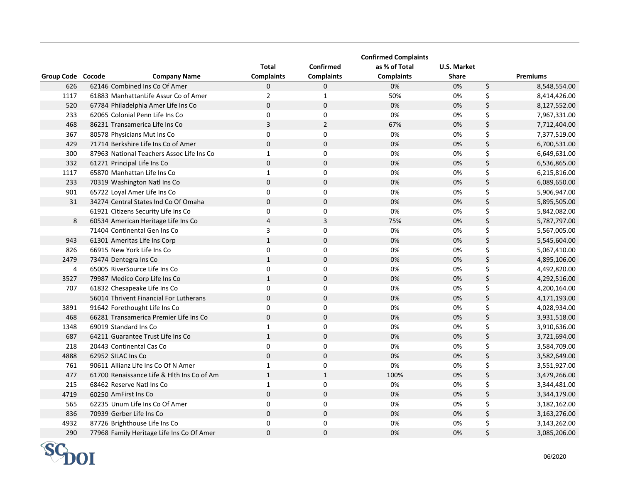|                   |                                            |                   |                   | <b>Confirmed Complaints</b> |              |                    |
|-------------------|--------------------------------------------|-------------------|-------------------|-----------------------------|--------------|--------------------|
|                   |                                            | <b>Total</b>      | Confirmed         | as % of Total               | U.S. Market  |                    |
| Group Code Cocode | <b>Company Name</b>                        | <b>Complaints</b> | <b>Complaints</b> | <b>Complaints</b>           | <b>Share</b> | <b>Premiums</b>    |
| 626               | 62146 Combined Ins Co Of Amer              | $\mathbf 0$       | 0                 | 0%                          | 0%           | \$<br>8,548,554.00 |
| 1117              | 61883 ManhattanLife Assur Co of Amer       | $\overline{2}$    | $\mathbf{1}$      | 50%                         | 0%           | \$<br>8,414,426.00 |
| 520               | 67784 Philadelphia Amer Life Ins Co        | $\mathbf 0$       | $\mathbf 0$       | 0%                          | 0%           | \$<br>8,127,552.00 |
| 233               | 62065 Colonial Penn Life Ins Co            | $\mathbf 0$       | 0                 | 0%                          | 0%           | \$<br>7,967,331.00 |
| 468               | 86231 Transamerica Life Ins Co             | $\overline{3}$    | $\overline{2}$    | 67%                         | 0%           | \$<br>7,712,404.00 |
| 367               | 80578 Physicians Mut Ins Co                | $\Omega$          | 0                 | 0%                          | 0%           | \$<br>7,377,519.00 |
| 429               | 71714 Berkshire Life Ins Co of Amer        | $\Omega$          | $\mathbf 0$       | 0%                          | 0%           | \$<br>6,700,531.00 |
| 300               | 87963 National Teachers Assoc Life Ins Co  | $\mathbf{1}$      | 0                 | 0%                          | 0%           | \$<br>6,649,631.00 |
| 332               | 61271 Principal Life Ins Co                | $\mathbf 0$       | $\mathbf 0$       | 0%                          | 0%           | \$<br>6,536,865.00 |
| 1117              | 65870 Manhattan Life Ins Co                | $\mathbf{1}$      | 0                 | 0%                          | 0%           | \$<br>6,215,816.00 |
| 233               | 70319 Washington Natl Ins Co               | $\mathbf 0$       | $\pmb{0}$         | 0%                          | 0%           | \$<br>6,089,650.00 |
| 901               | 65722 Loyal Amer Life Ins Co               | $\mathbf 0$       | $\mathbf 0$       | 0%                          | 0%           | \$<br>5,906,947.00 |
| 31                | 34274 Central States Ind Co Of Omaha       | $\mathbf 0$       | $\pmb{0}$         | 0%                          | 0%           | \$<br>5,895,505.00 |
|                   | 61921 Citizens Security Life Ins Co        | $\mathbf 0$       | 0                 | 0%                          | 0%           | \$<br>5,842,082.00 |
| 8                 | 60534 American Heritage Life Ins Co        | $\overline{4}$    | $\mathbf{3}$      | 75%                         | 0%           | \$<br>5,787,797.00 |
|                   | 71404 Continental Gen Ins Co               | 3                 | $\pmb{0}$         | 0%                          | 0%           | \$<br>5,567,005.00 |
| 943               | 61301 Ameritas Life Ins Corp               | $\,1\,$           | $\pmb{0}$         | 0%                          | 0%           | \$<br>5,545,604.00 |
| 826               | 66915 New York Life Ins Co                 | $\pmb{0}$         | $\pmb{0}$         | 0%                          | 0%           | \$<br>5,067,410.00 |
| 2479              | 73474 Dentegra Ins Co                      | $\mathbf{1}$      | $\pmb{0}$         | 0%                          | 0%           | \$<br>4,895,106.00 |
| 4                 | 65005 RiverSource Life Ins Co              | $\pmb{0}$         | $\pmb{0}$         | 0%                          | 0%           | \$<br>4,492,820.00 |
| 3527              | 79987 Medico Corp Life Ins Co              | $\mathbf{1}$      | $\Omega$          | 0%                          | 0%           | \$<br>4,292,516.00 |
| 707               | 61832 Chesapeake Life Ins Co               | $\pmb{0}$         | $\pmb{0}$         | 0%                          | 0%           | \$<br>4,200,164.00 |
|                   | 56014 Thrivent Financial For Lutherans     | $\pmb{0}$         | $\pmb{0}$         | 0%                          | 0%           | \$<br>4,171,193.00 |
| 3891              | 91642 Forethought Life Ins Co              | $\mathbf 0$       | 0                 | 0%                          | 0%           | \$<br>4,028,934.00 |
| 468               | 66281 Transamerica Premier Life Ins Co     | $\Omega$          | $\pmb{0}$         | 0%                          | 0%           | \$<br>3,931,518.00 |
| 1348              | 69019 Standard Ins Co                      | $\mathbf{1}$      | 0                 | 0%                          | 0%           | \$<br>3,910,636.00 |
| 687               | 64211 Guarantee Trust Life Ins Co          | $\mathbf{1}$      | $\mathbf 0$       | 0%                          | 0%           | \$<br>3,721,694.00 |
| 218               | 20443 Continental Cas Co                   | $\pmb{0}$         | $\mathbf 0$       | 0%                          | 0%           | \$<br>3,584,709.00 |
| 4888              | 62952 SILAC Ins Co                         | $\pmb{0}$         | $\pmb{0}$         | 0%                          | 0%           | \$<br>3,582,649.00 |
| 761               | 90611 Allianz Life Ins Co Of N Amer        | $\mathbf{1}$      | $\pmb{0}$         | 0%                          | 0%           | \$<br>3,551,927.00 |
| 477               | 61700 Renaissance Life & Hlth Ins Co of Am | $\mathbf{1}$      | $\mathbf 1$       | 100%                        | 0%           | \$<br>3,479,266.00 |
| 215               | 68462 Reserve Natl Ins Co                  | $\mathbf 1$       | $\pmb{0}$         | 0%                          | 0%           | \$<br>3,344,481.00 |
| 4719              | 60250 AmFirst Ins Co                       | $\pmb{0}$         | $\pmb{0}$         | 0%                          | 0%           | \$<br>3,344,179.00 |
| 565               | 62235 Unum Life Ins Co Of Amer             | 0                 | 0                 | 0%                          | 0%           | \$<br>3,182,162.00 |
| 836               | 70939 Gerber Life Ins Co                   | $\mathbf{0}$      | $\mathbf 0$       | 0%                          | 0%           | \$<br>3,163,276.00 |
| 4932              | 87726 Brighthouse Life Ins Co              | 0                 | 0                 | 0%                          | 0%           | \$<br>3,143,262.00 |
| 290               | 77968 Family Heritage Life Ins Co Of Amer  | $\mathbf 0$       | $\mathbf 0$       | 0%                          | 0%           | \$<br>3,085,206.00 |

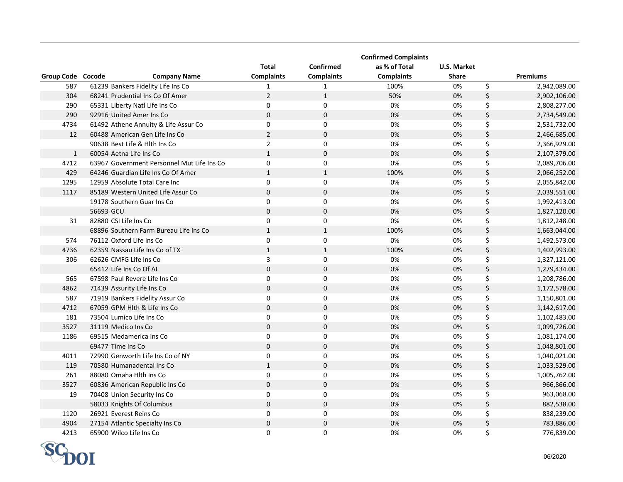|                   |                                            |                   |                   | <b>Confirmed Complaints</b> |                    |                    |
|-------------------|--------------------------------------------|-------------------|-------------------|-----------------------------|--------------------|--------------------|
|                   |                                            | <b>Total</b>      | <b>Confirmed</b>  | as % of Total               | <b>U.S. Market</b> |                    |
| Group Code Cocode | <b>Company Name</b>                        | <b>Complaints</b> | <b>Complaints</b> | <b>Complaints</b>           | <b>Share</b>       | <b>Premiums</b>    |
| 587               | 61239 Bankers Fidelity Life Ins Co         | 1                 | 1                 | 100%                        | 0%                 | \$<br>2,942,089.00 |
| 304               | 68241 Prudential Ins Co Of Amer            | $\overline{2}$    | $\mathbf{1}$      | 50%                         | 0%                 | \$<br>2,902,106.00 |
| 290               | 65331 Liberty Natl Life Ins Co             | $\pmb{0}$         | $\pmb{0}$         | 0%                          | 0%                 | \$<br>2,808,277.00 |
| 290               | 92916 United Amer Ins Co                   | $\pmb{0}$         | $\pmb{0}$         | 0%                          | 0%                 | \$<br>2,734,549.00 |
| 4734              | 61492 Athene Annuity & Life Assur Co       | $\pmb{0}$         | $\pmb{0}$         | 0%                          | 0%                 | \$<br>2,531,732.00 |
| 12                | 60488 American Gen Life Ins Co             | $\overline{2}$    | $\pmb{0}$         | 0%                          | 0%                 | \$<br>2,466,685.00 |
|                   | 90638 Best Life & Hith Ins Co              | $\overline{2}$    | $\mathbf 0$       | 0%                          | 0%                 | \$<br>2,366,929.00 |
| $\mathbf{1}$      | 60054 Aetna Life Ins Co                    | $\mathbf{1}$      | $\mathbf 0$       | 0%                          | 0%                 | \$<br>2,107,379.00 |
| 4712              | 63967 Government Personnel Mut Life Ins Co | $\pmb{0}$         | $\mathbf 0$       | 0%                          | 0%                 | \$<br>2,089,706.00 |
| 429               | 64246 Guardian Life Ins Co Of Amer         | $\mathbf 1$       | $\mathbf 1$       | 100%                        | 0%                 | \$<br>2,066,252.00 |
| 1295              | 12959 Absolute Total Care Inc              | 0                 | $\pmb{0}$         | 0%                          | 0%                 | \$<br>2,055,842.00 |
| 1117              | 85189 Western United Life Assur Co         | $\mathbf 0$       | $\mathbf 0$       | 0%                          | 0%                 | \$<br>2,039,551.00 |
|                   | 19178 Southern Guar Ins Co                 | $\mathbf 0$       | $\mathbf 0$       | 0%                          | 0%                 | \$<br>1,992,413.00 |
|                   | 56693 GCU                                  | $\mathbf 0$       | $\mathbf 0$       | 0%                          | 0%                 | \$<br>1,827,120.00 |
| 31                | 82880 CSI Life Ins Co                      | $\pmb{0}$         | $\pmb{0}$         | 0%                          | 0%                 | \$<br>1,812,248.00 |
|                   | 68896 Southern Farm Bureau Life Ins Co     | $\mathbf{1}$      | $\mathbf 1$       | 100%                        | 0%                 | \$<br>1,663,044.00 |
| 574               | 76112 Oxford Life Ins Co                   | $\pmb{0}$         | $\pmb{0}$         | 0%                          | 0%                 | \$<br>1,492,573.00 |
| 4736              | 62359 Nassau Life Ins Co of TX             | $\mathbf{1}$      | $\mathbf{1}$      | 100%                        | 0%                 | \$<br>1,402,993.00 |
| 306               | 62626 CMFG Life Ins Co                     | $\mathsf{3}$      | $\mathbf 0$       | 0%                          | 0%                 | \$<br>1,327,121.00 |
|                   | 65412 Life Ins Co Of AL                    | $\mathbf 0$       | $\mathbf 0$       | 0%                          | 0%                 | \$<br>1,279,434.00 |
| 565               | 67598 Paul Revere Life Ins Co              | 0                 | $\mathbf 0$       | 0%                          | 0%                 | \$<br>1,208,786.00 |
| 4862              | 71439 Assurity Life Ins Co                 | $\mathbf 0$       | $\mathbf 0$       | 0%                          | 0%                 | \$<br>1,172,578.00 |
| 587               | 71919 Bankers Fidelity Assur Co            | 0                 | $\mathbf 0$       | 0%                          | 0%                 | \$<br>1,150,801.00 |
| 4712              | 67059 GPM Hlth & Life Ins Co               | $\mathbf 0$       | $\mathbf 0$       | 0%                          | 0%                 | \$<br>1,142,617.00 |
| 181               | 73504 Lumico Life Ins Co                   | 0                 | $\mathbf 0$       | 0%                          | 0%                 | \$<br>1,102,483.00 |
| 3527              | 31119 Medico Ins Co                        | $\mathbf 0$       | $\mathbf 0$       | 0%                          | 0%                 | \$<br>1,099,726.00 |
| 1186              | 69515 Medamerica Ins Co                    | 0                 | $\mathbf 0$       | 0%                          | 0%                 | \$<br>1,081,174.00 |
|                   | 69477 Time Ins Co                          | $\Omega$          | $\mathbf 0$       | 0%                          | 0%                 | \$<br>1,048,801.00 |
| 4011              | 72990 Genworth Life Ins Co of NY           | $\mathbf 0$       | $\mathbf 0$       | 0%                          | 0%                 | \$<br>1,040,021.00 |
| 119               | 70580 Humanadental Ins Co                  | $\mathbf{1}$      | 0                 | 0%                          | 0%                 | \$<br>1,033,529.00 |
| 261               | 88080 Omaha Hlth Ins Co                    | 0                 | $\mathbf 0$       | 0%                          | 0%                 | \$<br>1,005,762.00 |
| 3527              | 60836 American Republic Ins Co             | $\pmb{0}$         | $\pmb{0}$         | 0%                          | 0%                 | \$<br>966,866.00   |
| 19                | 70408 Union Security Ins Co                | 0                 | $\mathbf 0$       | 0%                          | 0%                 | \$<br>963,068.00   |
|                   | 58033 Knights Of Columbus                  | $\mathbf 0$       | $\pmb{0}$         | 0%                          | 0%                 | \$<br>882,538.00   |
| 1120              | 26921 Everest Reins Co                     | 0                 | $\mathbf 0$       | 0%                          | 0%                 | \$<br>838,239.00   |
| 4904              | 27154 Atlantic Specialty Ins Co            | $\mathbf 0$       | 0                 | 0%                          | 0%                 | \$<br>783,886.00   |
| 4213              | 65900 Wilco Life Ins Co                    | 0                 | 0                 | 0%                          | 0%                 | \$<br>776,839.00   |

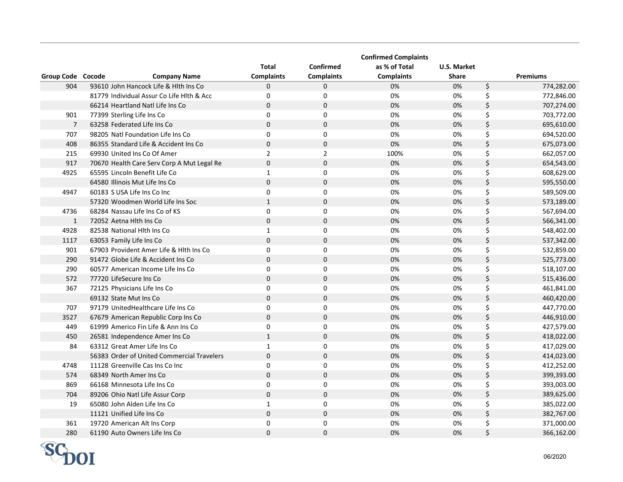|                   |                                            |                   |                   | <b>Confirmed Complaints</b> |              |                  |
|-------------------|--------------------------------------------|-------------------|-------------------|-----------------------------|--------------|------------------|
|                   |                                            | <b>Total</b>      | <b>Confirmed</b>  | as % of Total               | U.S. Market  |                  |
| Group Code Cocode | <b>Company Name</b>                        | <b>Complaints</b> | <b>Complaints</b> | <b>Complaints</b>           | <b>Share</b> | <b>Premiums</b>  |
| 904               | 93610 John Hancock Life & Hith Ins Co      | $\Omega$          | $\mathbf 0$       | 0%                          | 0%           | \$<br>774,282.00 |
|                   | 81779 Individual Assur Co Life Hith & Acc  | 0                 | $\mathbf 0$       | 0%                          | 0%           | \$<br>772,846.00 |
|                   | 66214 Heartland Natl Life Ins Co           | $\mathbf 0$       | $\mathbf 0$       | 0%                          | 0%           | \$<br>707,274.00 |
| 901               | 77399 Sterling Life Ins Co                 | $\Omega$          | $\Omega$          | 0%                          | 0%           | \$<br>703,772.00 |
| $\overline{7}$    | 63258 Federated Life Ins Co                | $\mathbf 0$       | $\mathbf 0$       | 0%                          | 0%           | \$<br>695,610.00 |
| 707               | 98205 Natl Foundation Life Ins Co          | $\Omega$          | $\Omega$          | 0%                          | 0%           | \$<br>694,520.00 |
| 408               | 86355 Standard Life & Accident Ins Co      | $\mathbf 0$       | $\mathbf 0$       | 0%                          | 0%           | \$<br>675,073.00 |
| 215               | 69930 United Ins Co Of Amer                | $\overline{2}$    | $\overline{2}$    | 100%                        | 0%           | \$<br>662,057.00 |
| 917               | 70670 Health Care Serv Corp A Mut Legal Re | $\pmb{0}$         | $\mathbf 0$       | 0%                          | 0%           | \$<br>654,543.00 |
| 4925              | 65595 Lincoln Benefit Life Co              | $\mathbf{1}$      | $\mathbf 0$       | 0%                          | 0%           | \$<br>608,629.00 |
|                   | 64580 Illinois Mut Life Ins Co             | $\mathbf 0$       | $\mathbf 0$       | 0%                          | 0%           | \$<br>595,550.00 |
| 4947              | 60183 S USA Life Ins Co Inc                | $\mathbf 0$       | $\mathbf 0$       | 0%                          | 0%           | \$<br>589,509.00 |
|                   | 57320 Woodmen World Life Ins Soc           | $\mathbf{1}$      | $\mathbf 0$       | 0%                          | 0%           | \$<br>573,189.00 |
| 4736              | 68284 Nassau Life Ins Co of KS             | 0                 | $\mathbf 0$       | 0%                          | 0%           | \$<br>567,694.00 |
| $\mathbf{1}$      | 72052 Aetna Hlth Ins Co                    | $\mathbf 0$       | $\mathbf 0$       | 0%                          | 0%           | \$<br>566,341.00 |
| 4928              | 82538 National Hith Ins Co                 | $\mathbf{1}$      | $\mathsf 0$       | 0%                          | 0%           | \$<br>548,402.00 |
| 1117              | 63053 Family Life Ins Co                   | $\mathbf 0$       | $\mathbf 0$       | 0%                          | 0%           | \$<br>537,342.00 |
| 901               | 67903 Provident Amer Life & Hlth Ins Co    | $\mathbf 0$       | $\mathbf 0$       | 0%                          | 0%           | \$<br>532,859.00 |
| 290               | 91472 Globe Life & Accident Ins Co         | $\mathbf 0$       | $\mathbf 0$       | 0%                          | 0%           | \$<br>525,773.00 |
| 290               | 60577 American Income Life Ins Co          | $\mathbf 0$       | $\mathbf 0$       | 0%                          | 0%           | \$<br>518,107.00 |
| 572               | 77720 LifeSecure Ins Co                    | $\mathbf 0$       | $\mathbf 0$       | 0%                          | 0%           | \$<br>515,436.00 |
| 367               | 72125 Physicians Life Ins Co               | $\mathbf 0$       | $\pmb{0}$         | 0%                          | 0%           | \$<br>461,841.00 |
|                   | 69132 State Mut Ins Co                     | $\pmb{0}$         | $\mathbf 0$       | 0%                          | 0%           | \$<br>460,420.00 |
| 707               | 97179 UnitedHealthcare Life Ins Co         | $\mathbf 0$       | $\mathbf 0$       | 0%                          | 0%           | \$<br>447,770.00 |
| 3527              | 67679 American Republic Corp Ins Co        | $\pmb{0}$         | $\mathbf 0$       | 0%                          | 0%           | \$<br>446,910.00 |
| 449               | 61999 Americo Fin Life & Ann Ins Co        | 0                 | $\mathbf 0$       | 0%                          | 0%           | \$<br>427,579.00 |
| 450               | 26581 Independence Amer Ins Co             | $\mathbf{1}$      | $\Omega$          | 0%                          | 0%           | \$<br>418,022.00 |
| 84                | 63312 Great Amer Life Ins Co               | $\mathbf{1}$      | $\mathbf 0$       | 0%                          | 0%           | \$<br>417,029.00 |
|                   | 56383 Order of United Commercial Travelers | $\mathbf 0$       | $\mathbf 0$       | 0%                          | 0%           | \$<br>414,023.00 |
| 4748              | 11128 Greenville Cas Ins Co Inc            | 0                 | $\mathbf 0$       | 0%                          | 0%           | \$<br>412,252.00 |
| 574               | 68349 North Amer Ins Co                    | $\mathbf 0$       | $\mathbf 0$       | 0%                          | 0%           | \$<br>399,393.00 |
| 869               | 66168 Minnesota Life Ins Co                | $\Omega$          | $\pmb{0}$         | 0%                          | 0%           | \$<br>393,003.00 |
| 704               | 89206 Ohio Natl Life Assur Corp            | $\Omega$          | $\mathbf 0$       | 0%                          | 0%           | \$<br>389,625.00 |
| 19                | 65080 John Alden Life Ins Co               | $\mathbf{1}$      | $\mathbf 0$       | 0%                          | 0%           | \$<br>385,022.00 |
|                   | 11121 Unified Life Ins Co                  | $\pmb{0}$         | $\mathbf 0$       | 0%                          | 0%           | \$<br>382,767.00 |
| 361               | 19720 American Alt Ins Corp                | 0                 | $\pmb{0}$         | 0%                          | 0%           | \$<br>371,000.00 |
| 280               | 61190 Auto Owners Life Ins Co              | $\mathbf 0$       | $\mathbf 0$       | 0%                          | 0%           | \$<br>366,162.00 |

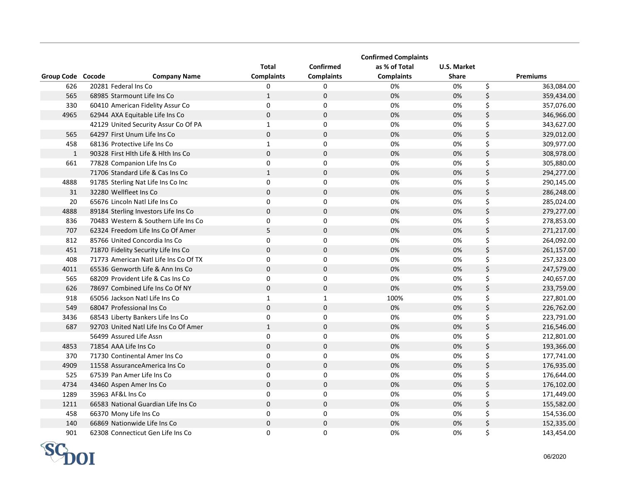|                   |                                       |                   |                   | <b>Confirmed Complaints</b> |              |                  |
|-------------------|---------------------------------------|-------------------|-------------------|-----------------------------|--------------|------------------|
|                   |                                       | <b>Total</b>      | Confirmed         | as % of Total               | U.S. Market  |                  |
| Group Code Cocode | <b>Company Name</b>                   | <b>Complaints</b> | <b>Complaints</b> | <b>Complaints</b>           | <b>Share</b> | <b>Premiums</b>  |
| 626               | 20281 Federal Ins Co                  | $\mathbf{0}$      | 0                 | 0%                          | 0%           | \$<br>363,084.00 |
| 565               | 68985 Starmount Life Ins Co           | $\mathbf{1}$      | $\pmb{0}$         | 0%                          | 0%           | \$<br>359,434.00 |
| 330               | 60410 American Fidelity Assur Co      | $\Omega$          | 0                 | 0%                          | 0%           | \$<br>357,076.00 |
| 4965              | 62944 AXA Equitable Life Ins Co       | $\mathsf 0$       | $\pmb{0}$         | 0%                          | 0%           | \$<br>346,966.00 |
|                   | 42129 United Security Assur Co Of PA  | $\mathbf{1}$      | $\pmb{0}$         | 0%                          | 0%           | \$<br>343,627.00 |
| 565               | 64297 First Unum Life Ins Co          | $\mathbf 0$       | $\pmb{0}$         | 0%                          | 0%           | \$<br>329,012.00 |
| 458               | 68136 Protective Life Ins Co          | $\mathbf{1}$      | $\mathbf 0$       | 0%                          | 0%           | \$<br>309,977.00 |
| $\mathbf{1}$      | 90328 First Hlth Life & Hlth Ins Co   | $\mathbf{0}$      | $\mathbf 0$       | 0%                          | 0%           | \$<br>308,978.00 |
| 661               | 77828 Companion Life Ins Co           | 0                 | 0                 | 0%                          | 0%           | \$<br>305,880.00 |
|                   | 71706 Standard Life & Cas Ins Co      | $\mathbf{1}$      | $\pmb{0}$         | 0%                          | 0%           | \$<br>294,277.00 |
| 4888              | 91785 Sterling Nat Life Ins Co Inc    | $\mathbf 0$       | $\mathbf 0$       | 0%                          | 0%           | \$<br>290,145.00 |
| 31                | 32280 Wellfleet Ins Co                | $\mathbf 0$       | $\mathbf 0$       | 0%                          | 0%           | \$<br>286,248.00 |
| 20                | 65676 Lincoln Natl Life Ins Co        | $\mathbf 0$       | 0                 | 0%                          | 0%           | \$<br>285,024.00 |
| 4888              | 89184 Sterling Investors Life Ins Co  | $\mathbf{0}$      | $\mathbf 0$       | 0%                          | 0%           | \$<br>279,277.00 |
| 836               | 70483 Western & Southern Life Ins Co  | $\mathbf 0$       | $\pmb{0}$         | 0%                          | 0%           | \$<br>278,853.00 |
| 707               | 62324 Freedom Life Ins Co Of Amer     | 5                 | $\mathbf 0$       | 0%                          | 0%           | \$<br>271,217.00 |
| 812               | 85766 United Concordia Ins Co         | $\mathbf 0$       | $\pmb{0}$         | 0%                          | 0%           | \$<br>264,092.00 |
| 451               | 71870 Fidelity Security Life Ins Co   | $\mathbf 0$       | $\mathbf 0$       | 0%                          | 0%           | \$<br>261,157.00 |
| 408               | 71773 American Natl Life Ins Co Of TX | $\mathbf 0$       | $\mathbf 0$       | 0%                          | 0%           | \$<br>257,323.00 |
| 4011              | 65536 Genworth Life & Ann Ins Co      | $\mathbf 0$       | $\mathbf 0$       | 0%                          | 0%           | \$<br>247,579.00 |
| 565               | 68209 Provident Life & Cas Ins Co     | 0                 | $\mathbf 0$       | 0%                          | 0%           | \$<br>240,657.00 |
| 626               | 78697 Combined Life Ins Co Of NY      | $\mathbf{0}$      | $\mathbf 0$       | 0%                          | 0%           | \$<br>233,759.00 |
| 918               | 65056 Jackson Natl Life Ins Co        | $\mathbf{1}$      | $\mathbf{1}$      | 100%                        | 0%           | \$<br>227,801.00 |
| 549               | 68047 Professional Ins Co             | $\mathbf 0$       | $\mathbf 0$       | 0%                          | 0%           | \$<br>226,762.00 |
| 3436              | 68543 Liberty Bankers Life Ins Co     | 0                 | 0                 | 0%                          | 0%           | \$<br>223,791.00 |
| 687               | 92703 United Natl Life Ins Co Of Amer | $\mathbf{1}$      | $\mathbf 0$       | 0%                          | 0%           | \$<br>216,546.00 |
|                   | 56499 Assured Life Assn               | $\mathbf 0$       | 0                 | 0%                          | 0%           | \$<br>212,801.00 |
| 4853              | 71854 AAA Life Ins Co                 | $\Omega$          | $\Omega$          | 0%                          | 0%           | \$<br>193,366.00 |
| 370               | 71730 Continental Amer Ins Co         | $\mathbf 0$       | 0                 | 0%                          | 0%           | \$<br>177,741.00 |
| 4909              | 11558 AssuranceAmerica Ins Co         | $\mathbf 0$       | $\mathbf 0$       | 0%                          | 0%           | \$<br>176,935.00 |
| 525               | 67539 Pan Amer Life Ins Co            | 0                 | 0                 | 0%                          | 0%           | \$<br>176,644.00 |
| 4734              | 43460 Aspen Amer Ins Co               | $\mathsf 0$       | $\bf 0$           | 0%                          | 0%           | \$<br>176,102.00 |
| 1289              | 35963 AF&L Ins Co                     | 0                 | 0                 | 0%                          | 0%           | \$<br>171,449.00 |
| 1211              | 66583 National Guardian Life Ins Co   | $\mathbf 0$       | $\mathbf 0$       | 0%                          | 0%           | \$<br>155,582.00 |
| 458               | 66370 Mony Life Ins Co                | $\mathbf 0$       | 0                 | 0%                          | 0%           | \$<br>154,536.00 |
| 140               | 66869 Nationwide Life Ins Co          | $\mathbf 0$       | $\mathbf 0$       | 0%                          | 0%           | \$<br>152,335.00 |
| 901               | 62308 Connecticut Gen Life Ins Co     | $\mathbf 0$       | 0                 | 0%                          | 0%           | \$<br>143,454.00 |

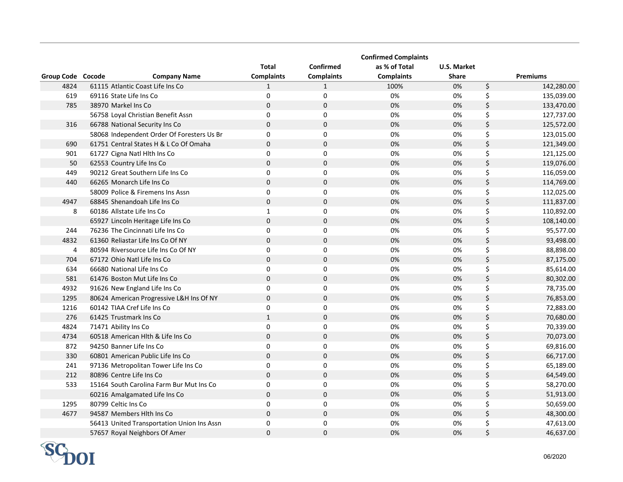|                   |                                            |                   |                   | <b>Confirmed Complaints</b> |              |                  |
|-------------------|--------------------------------------------|-------------------|-------------------|-----------------------------|--------------|------------------|
|                   |                                            | <b>Total</b>      | <b>Confirmed</b>  | as % of Total               | U.S. Market  |                  |
| Group Code Cocode | <b>Company Name</b>                        | <b>Complaints</b> | <b>Complaints</b> | <b>Complaints</b>           | <b>Share</b> | <b>Premiums</b>  |
| 4824              | 61115 Atlantic Coast Life Ins Co           | $\mathbf{1}$      | $\mathbf{1}$      | 100%                        | 0%           | \$<br>142,280.00 |
| 619               | 69116 State Life Ins Co                    | $\mathbf 0$       | $\mathbf 0$       | 0%                          | 0%           | \$<br>135,039.00 |
| 785               | 38970 Markel Ins Co                        | $\mathbf 0$       | $\mathbf 0$       | 0%                          | 0%           | \$<br>133,470.00 |
|                   | 56758 Loyal Christian Benefit Assn         | $\Omega$          | $\mathbf 0$       | 0%                          | 0%           | \$<br>127,737.00 |
| 316               | 66788 National Security Ins Co             | $\Omega$          | $\mathbf 0$       | 0%                          | 0%           | \$<br>125,572.00 |
|                   | 58068 Independent Order Of Foresters Us Br | $\Omega$          | 0                 | 0%                          | 0%           | \$<br>123,015.00 |
| 690               | 61751 Central States H & L Co Of Omaha     | $\Omega$          | $\mathbf 0$       | 0%                          | 0%           | \$<br>121,349.00 |
| 901               | 61727 Cigna Natl Hlth Ins Co               | $\Omega$          | $\mathbf 0$       | 0%                          | 0%           | \$<br>121,125.00 |
| 50                | 62553 Country Life Ins Co                  | $\mathbf 0$       | $\mathbf 0$       | 0%                          | 0%           | \$<br>119,076.00 |
| 449               | 90212 Great Southern Life Ins Co           | 0                 | 0                 | 0%                          | 0%           | \$<br>116,059.00 |
| 440               | 66265 Monarch Life Ins Co                  | $\Omega$          | $\Omega$          | 0%                          | 0%           | \$<br>114,769.00 |
|                   | 58009 Police & Firemens Ins Assn           | 0                 | 0                 | 0%                          | 0%           | \$<br>112,025.00 |
| 4947              | 68845 Shenandoah Life Ins Co               | $\mathbf 0$       | $\mathbf 0$       | 0%                          | 0%           | \$<br>111,837.00 |
| 8                 | 60186 Allstate Life Ins Co                 | $\mathbf{1}$      | $\mathbf 0$       | 0%                          | 0%           | \$<br>110,892.00 |
|                   | 65927 Lincoln Heritage Life Ins Co         | $\mathbf 0$       | $\mathbf 0$       | 0%                          | 0%           | \$<br>108,140.00 |
| 244               | 76236 The Cincinnati Life Ins Co           | 0                 | 0                 | 0%                          | 0%           | \$<br>95,577.00  |
| 4832              | 61360 Reliastar Life Ins Co Of NY          | $\bf 0$           | $\mathbf 0$       | 0%                          | 0%           | \$<br>93,498.00  |
| 4                 | 80594 Riversource Life Ins Co Of NY        | $\Omega$          | $\mathbf 0$       | 0%                          | 0%           | \$<br>88,898.00  |
| 704               | 67172 Ohio Natl Life Ins Co                | $\pmb{0}$         | $\pmb{0}$         | 0%                          | 0%           | \$<br>87,175.00  |
| 634               | 66680 National Life Ins Co                 | 0                 | $\mathbf 0$       | 0%                          | 0%           | \$<br>85,614.00  |
| 581               | 61476 Boston Mut Life Ins Co               | $\Omega$          | $\Omega$          | 0%                          | 0%           | \$<br>80,302.00  |
| 4932              | 91626 New England Life Ins Co              | 0                 | $\mathbf 0$       | 0%                          | 0%           | \$<br>78,735.00  |
| 1295              | 80624 American Progressive L&H Ins Of NY   | $\pmb{0}$         | $\pmb{0}$         | 0%                          | 0%           | \$<br>76,853.00  |
| 1216              | 60142 TIAA Cref Life Ins Co                | 0                 | $\mathbf 0$       | 0%                          | 0%           | \$<br>72,883.00  |
| 276               | 61425 Trustmark Ins Co                     | $\mathbf{1}$      | $\pmb{0}$         | 0%                          | 0%           | \$<br>70,680.00  |
| 4824              | 71471 Ability Ins Co                       | 0                 | $\mathbf 0$       | 0%                          | 0%           | \$<br>70,339.00  |
| 4734              | 60518 American Hlth & Life Ins Co          | $\mathbf 0$       | $\mathbf 0$       | 0%                          | 0%           | \$<br>70,073.00  |
| 872               | 94250 Banner Life Ins Co                   | 0                 | $\mathbf 0$       | 0%                          | 0%           | \$<br>69,816.00  |
| 330               | 60801 American Public Life Ins Co          | $\mathbf 0$       | $\pmb{0}$         | 0%                          | 0%           | \$<br>66,717.00  |
| 241               | 97136 Metropolitan Tower Life Ins Co       | $\pmb{0}$         | $\pmb{0}$         | 0%                          | 0%           | \$<br>65,189.00  |
| 212               | 80896 Centre Life Ins Co                   | $\mathbf 0$       | $\mathbf 0$       | 0%                          | 0%           | \$<br>64,549.00  |
| 533               | 15164 South Carolina Farm Bur Mut Ins Co   | $\pmb{0}$         | $\pmb{0}$         | 0%                          | 0%           | \$<br>58,270.00  |
|                   | 60216 Amalgamated Life Ins Co              | $\mathbf 0$       | $\pmb{0}$         | 0%                          | 0%           | \$<br>51,913.00  |
| 1295              | 80799 Celtic Ins Co                        | 0                 | $\mathbf 0$       | 0%                          | 0%           | \$<br>50,659.00  |
| 4677              | 94587 Members Hith Ins Co                  | $\mathbf 0$       | $\mathbf 0$       | 0%                          | 0%           | \$<br>48,300.00  |
|                   | 56413 United Transportation Union Ins Assn | 0                 | $\pmb{0}$         | 0%                          | 0%           | \$<br>47,613.00  |
|                   | 57657 Royal Neighbors Of Amer              | $\mathbf 0$       | $\mathbf 0$       | 0%                          | 0%           | \$<br>46,637.00  |

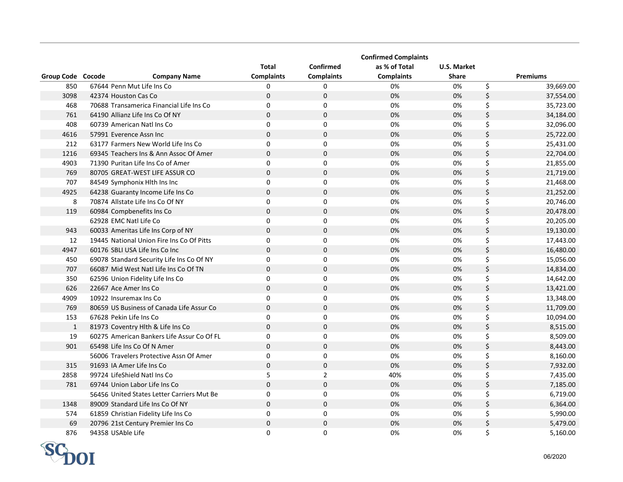|                   |                                            |                   |                   | <b>Confirmed Complaints</b> |                    |                 |
|-------------------|--------------------------------------------|-------------------|-------------------|-----------------------------|--------------------|-----------------|
|                   |                                            | <b>Total</b>      | Confirmed         | as % of Total               | <b>U.S. Market</b> |                 |
| Group Code Cocode | <b>Company Name</b>                        | <b>Complaints</b> | <b>Complaints</b> | <b>Complaints</b>           | <b>Share</b>       | <b>Premiums</b> |
| 850               | 67644 Penn Mut Life Ins Co                 | 0                 | 0                 | 0%                          | 0%                 | \$<br>39,669.00 |
| 3098              | 42374 Houston Cas Co                       | $\mathbf 0$       | $\pmb{0}$         | 0%                          | 0%                 | \$<br>37,554.00 |
| 468               | 70688 Transamerica Financial Life Ins Co   | $\mathbf 0$       | $\pmb{0}$         | 0%                          | 0%                 | \$<br>35,723.00 |
| 761               | 64190 Allianz Life Ins Co Of NY            | $\mathbf 0$       | $\pmb{0}$         | 0%                          | 0%                 | \$<br>34,184.00 |
| 408               | 60739 American Natl Ins Co                 | $\mathbf 0$       | $\mathbf 0$       | 0%                          | 0%                 | \$<br>32,096.00 |
| 4616              | 57991 Everence Assn Inc                    | $\mathbf 0$       | $\mathbf 0$       | 0%                          | 0%                 | \$<br>25,722.00 |
| 212               | 63177 Farmers New World Life Ins Co        | $\mathbf 0$       | 0                 | 0%                          | 0%                 | \$<br>25,431.00 |
| 1216              | 69345 Teachers Ins & Ann Assoc Of Amer     | $\mathbf 0$       | $\mathbf 0$       | 0%                          | 0%                 | \$<br>22,704.00 |
| 4903              | 71390 Puritan Life Ins Co of Amer          | 0                 | $\mathbf 0$       | 0%                          | 0%                 | \$<br>21,855.00 |
| 769               | 80705 GREAT-WEST LIFE ASSUR CO             | $\mathbf 0$       | $\mathbf 0$       | 0%                          | 0%                 | \$<br>21,719.00 |
| 707               | 84549 Symphonix Hlth Ins Inc               | $\Omega$          | 0                 | 0%                          | 0%                 | \$<br>21,468.00 |
| 4925              | 64238 Guaranty Income Life Ins Co          | $\mathbf 0$       | $\mathbf 0$       | 0%                          | 0%                 | \$<br>21,252.00 |
| 8                 | 70874 Allstate Life Ins Co Of NY           | $\mathbf 0$       | 0                 | 0%                          | 0%                 | \$<br>20,746.00 |
| 119               | 60984 Compbenefits Ins Co                  | $\Omega$          | $\mathbf 0$       | 0%                          | 0%                 | \$<br>20,478.00 |
|                   | 62928 EMC Natl Life Co                     | 0                 | 0                 | 0%                          | 0%                 | \$<br>20,205.00 |
| 943               | 60033 Ameritas Life Ins Corp of NY         | $\mathbf 0$       | $\mathbf 0$       | 0%                          | 0%                 | \$<br>19,130.00 |
| 12                | 19445 National Union Fire Ins Co Of Pitts  | $\mathbf 0$       | $\pmb{0}$         | 0%                          | 0%                 | \$<br>17,443.00 |
| 4947              | 60176 SBLI USA Life Ins Co Inc             | $\mathbf 0$       | $\mathbf 0$       | 0%                          | 0%                 | \$<br>16,480.00 |
| 450               | 69078 Standard Security Life Ins Co Of NY  | $\mathbf 0$       | $\mathbf 0$       | 0%                          | 0%                 | \$<br>15,056.00 |
| 707               | 66087 Mid West Natl Life Ins Co Of TN      | $\mathbf 0$       | $\mathbf 0$       | 0%                          | 0%                 | \$<br>14,834.00 |
| 350               | 62596 Union Fidelity Life Ins Co           | $\mathbf 0$       | $\mathbf 0$       | 0%                          | 0%                 | \$<br>14,642.00 |
| 626               | 22667 Ace Amer Ins Co                      | $\mathbf 0$       | $\mathbf 0$       | 0%                          | 0%                 | \$<br>13,421.00 |
| 4909              | 10922 Insuremax Ins Co                     | $\mathbf 0$       | 0                 | 0%                          | 0%                 | \$<br>13,348.00 |
| 769               | 80659 US Business of Canada Life Assur Co  | $\mathbf 0$       | $\pmb{0}$         | 0%                          | 0%                 | \$<br>11,709.00 |
| 153               | 67628 Pekin Life Ins Co                    | $\mathbf 0$       | 0                 | 0%                          | 0%                 | \$<br>10,094.00 |
| $\mathbf{1}$      | 81973 Coventry Hlth & Life Ins Co          | $\mathbf 0$       | $\mathbf 0$       | 0%                          | 0%                 | \$<br>8,515.00  |
| 19                | 60275 American Bankers Life Assur Co Of FL | $\mathbf 0$       | 0                 | 0%                          | 0%                 | \$<br>8,509.00  |
| 901               | 65498 Life Ins Co Of N Amer                | $\Omega$          | $\Omega$          | 0%                          | 0%                 | \$<br>8,443.00  |
|                   | 56006 Travelers Protective Assn Of Amer    | 0                 | $\mathbf 0$       | 0%                          | 0%                 | \$<br>8,160.00  |
| 315               | 91693 IA Amer Life Ins Co                  | $\mathbf 0$       | $\pmb{0}$         | 0%                          | 0%                 | \$<br>7,932.00  |
| 2858              | 99724 LifeShield Natl Ins Co               | 5                 | $\overline{2}$    | 40%                         | 0%                 | \$<br>7,435.00  |
| 781               | 69744 Union Labor Life Ins Co              | $\mathbf 0$       | $\mathbf 0$       | 0%                          | 0%                 | \$<br>7,185.00  |
|                   | 56456 United States Letter Carriers Mut Be | $\mathbf 0$       | $\mathbf 0$       | 0%                          | 0%                 | \$<br>6,719.00  |
| 1348              | 89009 Standard Life Ins Co Of NY           | $\mathbf 0$       | $\mathbf 0$       | 0%                          | 0%                 | \$<br>6,364.00  |
| 574               | 61859 Christian Fidelity Life Ins Co       | $\mathbf 0$       | $\mathbf 0$       | 0%                          | 0%                 | \$<br>5,990.00  |
| 69                | 20796 21st Century Premier Ins Co          | $\mathbf 0$       | $\pmb{0}$         | 0%                          | 0%                 | \$<br>5,479.00  |
| 876               | 94358 USAble Life                          | $\Omega$          | $\Omega$          | 0%                          | 0%                 | \$<br>5,160.00  |

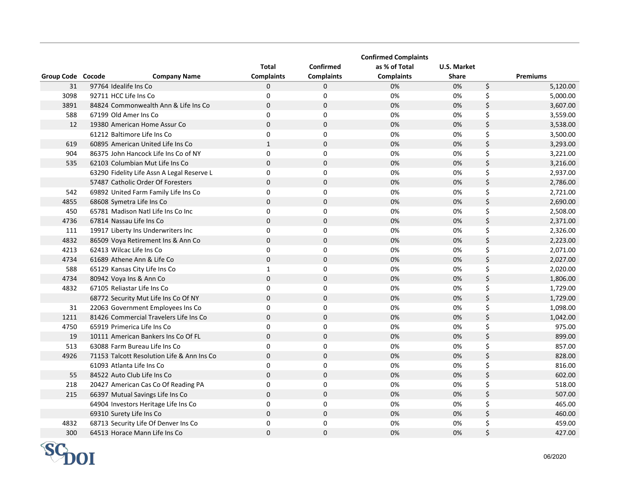|                   |                                            |                   |                   | <b>Confirmed Complaints</b> |                    |                 |
|-------------------|--------------------------------------------|-------------------|-------------------|-----------------------------|--------------------|-----------------|
|                   |                                            | <b>Total</b>      | <b>Confirmed</b>  | as % of Total               | <b>U.S. Market</b> |                 |
| Group Code Cocode | <b>Company Name</b>                        | <b>Complaints</b> | <b>Complaints</b> | <b>Complaints</b>           | <b>Share</b>       | <b>Premiums</b> |
| 31                | 97764 Idealife Ins Co                      | 0                 | $\mathbf 0$       | 0%                          | 0%                 | \$<br>5,120.00  |
| 3098              | 92711 HCC Life Ins Co                      | $\mathbf 0$       | $\mathbf 0$       | 0%                          | 0%                 | \$<br>5,000.00  |
| 3891              | 84824 Commonwealth Ann & Life Ins Co       | $\mathbf 0$       | $\mathbf 0$       | 0%                          | 0%                 | \$<br>3,607.00  |
| 588               | 67199 Old Amer Ins Co                      | $\mathbf 0$       | $\mathbf 0$       | 0%                          | 0%                 | \$<br>3,559.00  |
| 12                | 19380 American Home Assur Co               | $\pmb{0}$         | $\mathbf 0$       | 0%                          | 0%                 | \$<br>3,538.00  |
|                   | 61212 Baltimore Life Ins Co                | $\mathbf 0$       | $\mathbf 0$       | 0%                          | 0%                 | \$<br>3,500.00  |
| 619               | 60895 American United Life Ins Co          | $\mathbf{1}$      | $\mathbf 0$       | 0%                          | 0%                 | \$<br>3,293.00  |
| 904               | 86375 John Hancock Life Ins Co of NY       | $\mathbf 0$       | $\mathbf 0$       | 0%                          | 0%                 | \$<br>3,221.00  |
| 535               | 62103 Columbian Mut Life Ins Co            | $\mathbf 0$       | $\mathbf 0$       | 0%                          | 0%                 | \$<br>3,216.00  |
|                   | 63290 Fidelity Life Assn A Legal Reserve L | $\mathbf 0$       | $\pmb{0}$         | 0%                          | 0%                 | \$<br>2,937.00  |
|                   | 57487 Catholic Order Of Foresters          | $\mathbf 0$       | $\mathbf 0$       | 0%                          | 0%                 | \$<br>2,786.00  |
| 542               | 69892 United Farm Family Life Ins Co       | $\mathbf 0$       | $\mathbf 0$       | 0%                          | 0%                 | \$<br>2,721.00  |
| 4855              | 68608 Symetra Life Ins Co                  | $\mathbf 0$       | $\mathbf 0$       | 0%                          | 0%                 | \$<br>2,690.00  |
| 450               | 65781 Madison Natl Life Ins Co Inc         | 0                 | $\mathbf 0$       | 0%                          | 0%                 | \$<br>2,508.00  |
| 4736              | 67814 Nassau Life Ins Co                   | $\mathbf 0$       | $\mathbf 0$       | 0%                          | 0%                 | \$<br>2,371.00  |
| 111               | 19917 Liberty Ins Underwriters Inc         | $\mathbf 0$       | $\pmb{0}$         | 0%                          | 0%                 | \$<br>2,326.00  |
| 4832              | 86509 Voya Retirement Ins & Ann Co         | $\bf 0$           | $\mathbf 0$       | 0%                          | 0%                 | \$<br>2,223.00  |
| 4213              | 62413 Wilcac Life Ins Co                   | $\mathbf 0$       | $\mathbf 0$       | 0%                          | 0%                 | \$<br>2,071.00  |
| 4734              | 61689 Athene Ann & Life Co                 | $\mathbf 0$       | $\mathbf 0$       | 0%                          | 0%                 | \$<br>2,027.00  |
| 588               | 65129 Kansas City Life Ins Co              | $\mathbf{1}$      | $\mathbf 0$       | 0%                          | 0%                 | \$<br>2,020.00  |
| 4734              | 80942 Voya Ins & Ann Co                    | $\mathbf 0$       | $\mathbf 0$       | 0%                          | 0%                 | \$<br>1,806.00  |
| 4832              | 67105 Reliastar Life Ins Co                | $\mathbf 0$       | $\pmb{0}$         | 0%                          | 0%                 | \$<br>1,729.00  |
|                   | 68772 Security Mut Life Ins Co Of NY       | $\pmb{0}$         | $\pmb{0}$         | 0%                          | 0%                 | \$<br>1,729.00  |
| 31                | 22063 Government Employees Ins Co          | 0                 | $\pmb{0}$         | 0%                          | 0%                 | \$<br>1,098.00  |
| 1211              | 81426 Commercial Travelers Life Ins Co     | $\mathbf 0$       | $\mathbf 0$       | 0%                          | 0%                 | \$<br>1,042.00  |
| 4750              | 65919 Primerica Life Ins Co                | 0                 | $\mathbf 0$       | 0%                          | 0%                 | \$<br>975.00    |
| 19                | 10111 American Bankers Ins Co Of FL        | $\Omega$          | $\mathbf 0$       | 0%                          | 0%                 | \$<br>899.00    |
| 513               | 63088 Farm Bureau Life Ins Co              | 0                 | $\mathbf 0$       | 0%                          | 0%                 | \$<br>857.00    |
| 4926              | 71153 Talcott Resolution Life & Ann Ins Co | $\pmb{0}$         | $\pmb{0}$         | 0%                          | 0%                 | \$<br>828.00    |
|                   | 61093 Atlanta Life Ins Co                  | $\pmb{0}$         | $\pmb{0}$         | 0%                          | 0%                 | \$<br>816.00    |
| 55                | 84522 Auto Club Life Ins Co                | $\mathbf 0$       | $\mathbf 0$       | 0%                          | 0%                 | \$<br>602.00    |
| 218               | 20427 American Cas Co Of Reading PA        | $\mathbf 0$       | $\pmb{0}$         | 0%                          | 0%                 | \$<br>518.00    |
| 215               | 66397 Mutual Savings Life Ins Co           | $\mathbf 0$       | $\mathbf 0$       | 0%                          | 0%                 | \$<br>507.00    |
|                   | 64904 Investors Heritage Life Ins Co       | 0                 | $\mathbf 0$       | 0%                          | 0%                 | \$<br>465.00    |
|                   | 69310 Surety Life Ins Co                   | $\mathbf 0$       | 0                 | 0%                          | 0%                 | \$<br>460.00    |
| 4832              | 68713 Security Life Of Denver Ins Co       | 0                 | $\mathbf 0$       | 0%                          | 0%                 | \$<br>459.00    |
| 300               | 64513 Horace Mann Life Ins Co              | $\mathbf 0$       | $\mathbf 0$       | 0%                          | 0%                 | \$<br>427.00    |

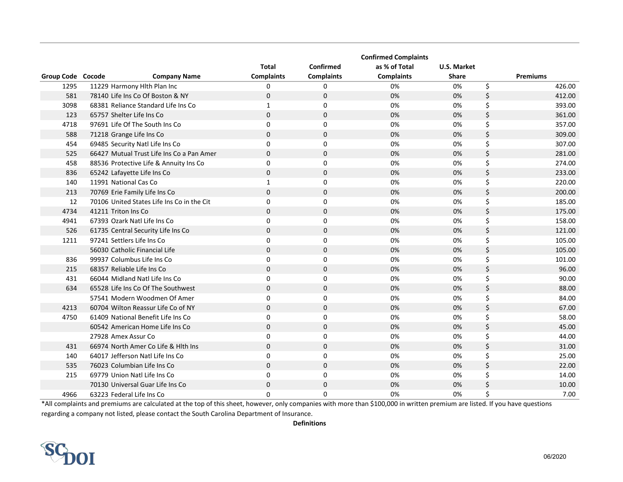|                   |                                            |                   |                   | <b>Confirmed Complaints</b> |              |    |                 |
|-------------------|--------------------------------------------|-------------------|-------------------|-----------------------------|--------------|----|-----------------|
|                   |                                            | <b>Total</b>      | Confirmed         | as % of Total               | U.S. Market  |    |                 |
| Group Code Cocode | <b>Company Name</b>                        | <b>Complaints</b> | <b>Complaints</b> | <b>Complaints</b>           | <b>Share</b> |    | <b>Premiums</b> |
| 1295              | 11229 Harmony Hith Plan Inc                | 0                 | 0                 | 0%                          | 0%           | \$ | 426.00          |
| 581               | 78140 Life Ins Co Of Boston & NY           | $\Omega$          | $\mathbf 0$       | 0%                          | 0%           | \$ | 412.00          |
| 3098              | 68381 Reliance Standard Life Ins Co        | $\mathbf{1}$      | 0                 | 0%                          | 0%           | \$ | 393.00          |
| 123               | 65757 Shelter Life Ins Co                  | $\Omega$          | $\mathbf 0$       | 0%                          | 0%           | \$ | 361.00          |
| 4718              | 97691 Life Of The South Ins Co             | 0                 | $\Omega$          | 0%                          | 0%           | \$ | 357.00          |
| 588               | 71218 Grange Life Ins Co                   | $\Omega$          | $\mathbf 0$       | 0%                          | 0%           | \$ | 309.00          |
| 454               | 69485 Security Natl Life Ins Co            | $\Omega$          | 0                 | 0%                          | 0%           | \$ | 307.00          |
| 525               | 66427 Mutual Trust Life Ins Co a Pan Amer  | $\mathbf 0$       | $\mathbf 0$       | 0%                          | 0%           | \$ | 281.00          |
| 458               | 88536 Protective Life & Annuity Ins Co     | 0                 | $\Omega$          | 0%                          | 0%           | \$ | 274.00          |
| 836               | 65242 Lafayette Life Ins Co                | $\mathbf{0}$      | $\mathbf 0$       | 0%                          | 0%           | \$ | 233.00          |
| 140               | 11991 National Cas Co                      | $\mathbf{1}$      | $\mathbf 0$       | 0%                          | 0%           | \$ | 220.00          |
| 213               | 70769 Erie Family Life Ins Co              | $\mathbf 0$       | $\mathbf 0$       | 0%                          | 0%           | \$ | 200.00          |
| 12                | 70106 United States Life Ins Co in the Cit | 0                 | 0                 | 0%                          | 0%           | \$ | 185.00          |
| 4734              | 41211 Triton Ins Co                        | $\mathbf 0$       | $\mathbf 0$       | 0%                          | 0%           | \$ | 175.00          |
| 4941              | 67393 Ozark Natl Life Ins Co               | 0                 | 0                 | 0%                          | 0%           | \$ | 158.00          |
| 526               | 61735 Central Security Life Ins Co         | $\mathbf{0}$      | $\mathbf 0$       | 0%                          | 0%           | \$ | 121.00          |
| 1211              | 97241 Settlers Life Ins Co                 | 0                 | 0                 | 0%                          | 0%           | \$ | 105.00          |
|                   | 56030 Catholic Financial Life              | $\Omega$          | $\mathbf 0$       | 0%                          | 0%           | \$ | 105.00          |
| 836               | 99937 Columbus Life Ins Co                 | 0                 | 0                 | 0%                          | 0%           | \$ | 101.00          |
| 215               | 68357 Reliable Life Ins Co                 | $\mathbf{0}$      | $\mathbf 0$       | 0%                          | 0%           | \$ | 96.00           |
| 431               | 66044 Midland Natl Life Ins Co             | 0                 | 0                 | 0%                          | 0%           | \$ | 90.00           |
| 634               | 65528 Life Ins Co Of The Southwest         | $\Omega$          | $\Omega$          | 0%                          | 0%           | \$ | 88.00           |
|                   | 57541 Modern Woodmen Of Amer               | $\Omega$          | $\Omega$          | 0%                          | 0%           | \$ | 84.00           |
| 4213              | 60704 Wilton Reassur Life Co of NY         | $\Omega$          | $\mathbf{0}$      | 0%                          | 0%           | \$ | 67.00           |
| 4750              | 61409 National Benefit Life Ins Co         | $\mathbf 0$       | 0                 | 0%                          | 0%           | \$ | 58.00           |
|                   | 60542 American Home Life Ins Co            | $\Omega$          | $\Omega$          | 0%                          | 0%           | \$ | 45.00           |
|                   | 27928 Amex Assur Co                        | $\Omega$          | $\mathbf 0$       | 0%                          | 0%           | \$ | 44.00           |
| 431               | 66974 North Amer Co Life & Hlth Ins        | $\mathbf{0}$      | $\mathbf 0$       | 0%                          | 0%           | \$ | 31.00           |
| 140               | 64017 Jefferson Natl Life Ins Co           | 0                 | $\mathbf 0$       | 0%                          | 0%           | \$ | 25.00           |
| 535               | 76023 Columbian Life Ins Co                | $\Omega$          | $\mathbf 0$       | 0%                          | 0%           | \$ | 22.00           |
| 215               | 69779 Union Natl Life Ins Co               | 0                 | $\mathbf 0$       | 0%                          | 0%           | \$ | 14.00           |
|                   | 70130 Universal Guar Life Ins Co           | $\mathbf{0}$      | $\mathbf 0$       | 0%                          | 0%           | \$ | 10.00           |
| 4966              | 63223 Federal Life Ins Co                  | 0                 | $\Omega$          | 0%                          | 0%           | Ś  | 7.00            |

\*All complaints and premiums are calculated at the top of this sheet, however, only companies with more than \$100,000 in written premium are listed. If you have questions regarding a company not listed, please contact the South Carolina Department of Insurance.

**Definitions**